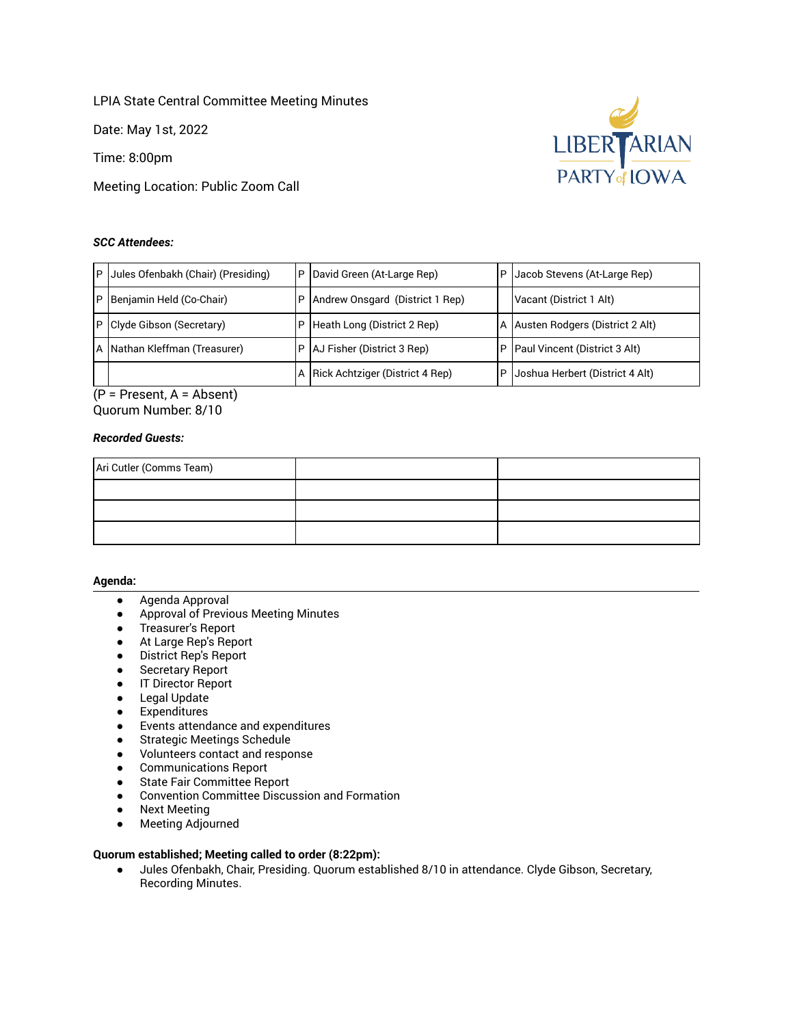LPIA State Central Committee Meeting Minutes

Date: May 1st, 2022

Time: 8:00pm

Meeting Location: Public Zoom Call

## *SCC Attendees:*



(P = Present, A = Absent) Quorum Number: 8/10

## *Recorded Guests:*

| Ari Cutler (Comms Team) |  |
|-------------------------|--|
|                         |  |
|                         |  |
|                         |  |

#### **Agenda:**

- Agenda Approval
- Approval of Previous Meeting Minutes
- Treasurer's Report
- At Large Rep's Report
- District Rep's Report
- Secretary Report
- IT Director Report
- Legal Update
- Expenditures
- Events attendance and expenditures
- Strategic Meetings Schedule
- Volunteers contact and response
- Communications Report
- State Fair Committee Report
- Convention Committee Discussion and Formation
- Next Meeting
- Meeting Adjourned

## **Quorum established; Meeting called to order (8:22pm):**

● Jules Ofenbakh, Chair, Presiding. Quorum established 8/10 in attendance. Clyde Gibson, Secretary, Recording Minutes.

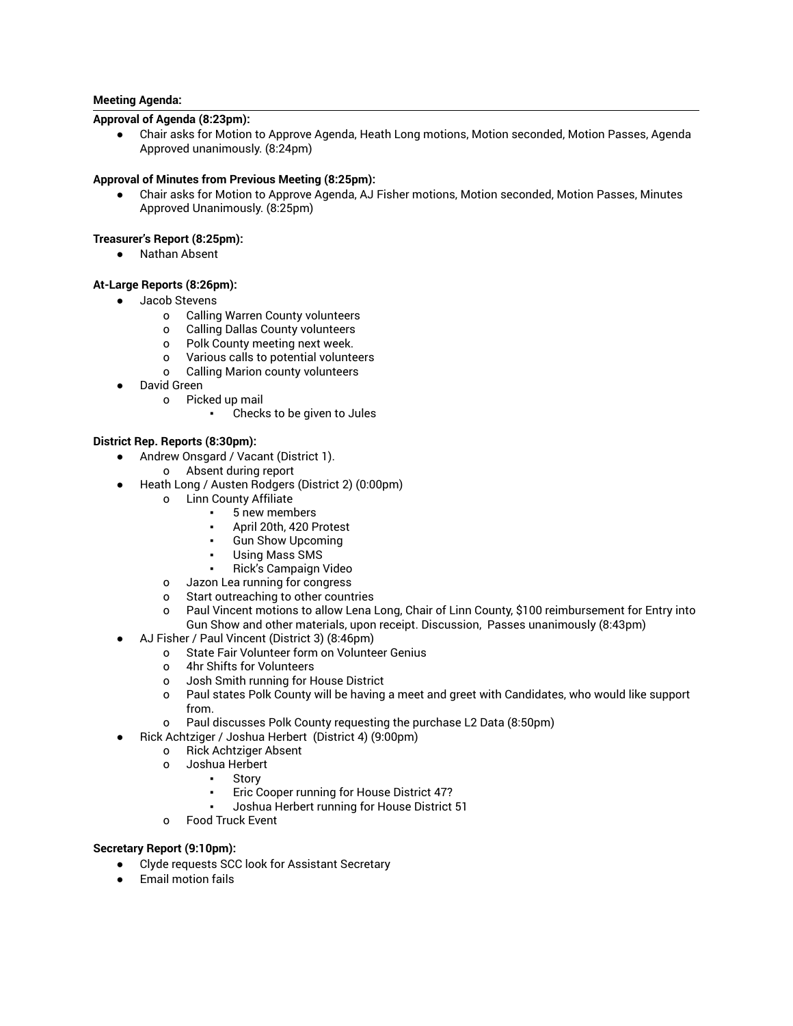## **Meeting Agenda:**

## **Approval of Agenda (8:23pm):**

Chair asks for Motion to Approve Agenda, Heath Long motions, Motion seconded, Motion Passes, Agenda Approved unanimously. (8:24pm)

### **Approval of Minutes from Previous Meeting (8:25pm):**

Chair asks for Motion to Approve Agenda, AJ Fisher motions, Motion seconded, Motion Passes, Minutes Approved Unanimously. (8:25pm)

## **Treasurer's Report (8:25pm):**

● Nathan Absent

## **At-Large Reports (8:26pm):**

- Jacob Stevens
	- o Calling Warren County volunteers
	- o Calling Dallas County volunteers
	- o Polk County meeting next week.
	- o Various calls to potential volunteers
	- o Calling Marion county volunteers
- David Green
	- o Picked up mail
		- Checks to be given to Jules

# **District Rep. Reports (8:30pm):**

- Andrew Onsgard / Vacant (District 1).
	- o Absent during report
- Heath Long / Austen Rodgers (District 2) (0:00pm)
	- o Linn County Affiliate
		- 5 new members
		- April 20th, 420 Protest
		- **Gun Show Upcoming**
		- **Using Mass SMS**
		- Rick's Campaign Video
	- o Jazon Lea running for congress
	- o Start outreaching to other countries
	- o Paul Vincent motions to allow Lena Long, Chair of Linn County, \$100 reimbursement for Entry into Gun Show and other materials, upon receipt. Discussion, Passes unanimously (8:43pm)
- AJ Fisher / Paul Vincent (District 3) (8:46pm)
	- o State Fair Volunteer form on Volunteer Genius
		- o 4hr Shifts for Volunteers
		- o Josh Smith running for House District
		- o Paul states Polk County will be having a meet and greet with Candidates, who would like support from.
		- o Paul discusses Polk County requesting the purchase L2 Data (8:50pm)
	- Rick Achtziger / Joshua Herbert (District 4) (9:00pm)
		- o Rick Achtziger Absent
		- o Joshua Herbert
			- **Story**
			- Eric Cooper running for House District 47?
			- Joshua Herbert running for House District 51
		- o Food Truck Event

### **Secretary Report (9:10pm):**

- Clyde requests SCC look for Assistant Secretary
- Email motion fails